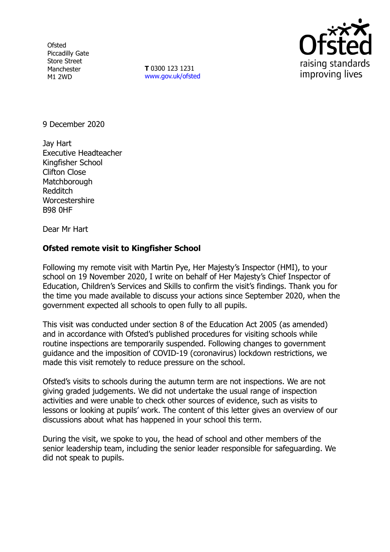**Ofsted** Piccadilly Gate Store Street Manchester M1 2WD

**T** 0300 123 1231 [www.gov.uk/ofsted](http://www.gov.uk/ofsted)



9 December 2020

Jay Hart Executive Headteacher Kingfisher School Clifton Close **Matchborough** Redditch **Worcestershire** B98 0HF

Dear Mr Hart

## **Ofsted remote visit to Kingfisher School**

Following my remote visit with Martin Pye, Her Majesty's Inspector (HMI), to your school on 19 November 2020, I write on behalf of Her Majesty's Chief Inspector of Education, Children's Services and Skills to confirm the visit's findings. Thank you for the time you made available to discuss your actions since September 2020, when the government expected all schools to open fully to all pupils.

This visit was conducted under section 8 of the Education Act 2005 (as amended) and in accordance with Ofsted's published procedures for visiting schools while routine inspections are temporarily suspended. Following changes to government guidance and the imposition of COVID-19 (coronavirus) lockdown restrictions, we made this visit remotely to reduce pressure on the school.

Ofsted's visits to schools during the autumn term are not inspections. We are not giving graded judgements. We did not undertake the usual range of inspection activities and were unable to check other sources of evidence, such as visits to lessons or looking at pupils' work. The content of this letter gives an overview of our discussions about what has happened in your school this term.

During the visit, we spoke to you, the head of school and other members of the senior leadership team, including the senior leader responsible for safeguarding. We did not speak to pupils.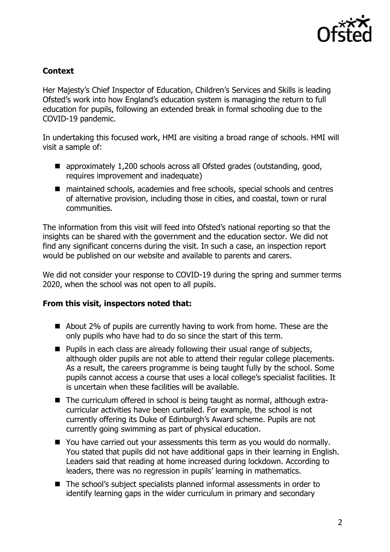

## **Context**

Her Majesty's Chief Inspector of Education, Children's Services and Skills is leading Ofsted's work into how England's education system is managing the return to full education for pupils, following an extended break in formal schooling due to the COVID-19 pandemic.

In undertaking this focused work, HMI are visiting a broad range of schools. HMI will visit a sample of:

- approximately 1,200 schools across all Ofsted grades (outstanding, good, requires improvement and inadequate)
- maintained schools, academies and free schools, special schools and centres of alternative provision, including those in cities, and coastal, town or rural communities.

The information from this visit will feed into Ofsted's national reporting so that the insights can be shared with the government and the education sector. We did not find any significant concerns during the visit. In such a case, an inspection report would be published on our website and available to parents and carers.

We did not consider your response to COVID-19 during the spring and summer terms 2020, when the school was not open to all pupils.

## **From this visit, inspectors noted that:**

- About 2% of pupils are currently having to work from home. These are the only pupils who have had to do so since the start of this term.
- $\blacksquare$  Pupils in each class are already following their usual range of subjects, although older pupils are not able to attend their regular college placements. As a result, the careers programme is being taught fully by the school. Some pupils cannot access a course that uses a local college's specialist facilities. It is uncertain when these facilities will be available.
- The curriculum offered in school is being taught as normal, although extracurricular activities have been curtailed. For example, the school is not currently offering its Duke of Edinburgh's Award scheme. Pupils are not currently going swimming as part of physical education.
- You have carried out your assessments this term as you would do normally. You stated that pupils did not have additional gaps in their learning in English. Leaders said that reading at home increased during lockdown. According to leaders, there was no regression in pupils' learning in mathematics.
- The school's subject specialists planned informal assessments in order to identify learning gaps in the wider curriculum in primary and secondary